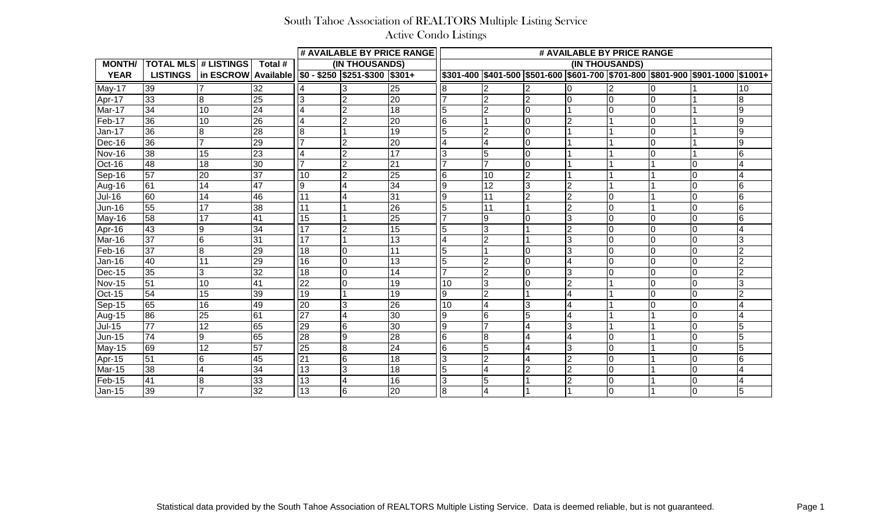|               |                 |                             |                 |                 |                                                           | # AVAILABLE BY PRICE RANGE | # AVAILABLE BY PRICE RANGE |                 |                |                         |                |                |                                                                                       |                 |
|---------------|-----------------|-----------------------------|-----------------|-----------------|-----------------------------------------------------------|----------------------------|----------------------------|-----------------|----------------|-------------------------|----------------|----------------|---------------------------------------------------------------------------------------|-----------------|
| <b>MONTH/</b> |                 | <b>TOTAL MLS # LISTINGS</b> | Total #         | (IN THOUSANDS)  |                                                           |                            | (IN THOUSANDS)             |                 |                |                         |                |                |                                                                                       |                 |
| <b>YEAR</b>   | <b>LISTINGS</b> | in ESCROW Available         |                 |                 | $\sqrt{$0 - $250 \sqrt{$251 - $300 \sqrt{$301 + $251}}$}$ |                            |                            |                 |                |                         |                |                | \$301-400  \$401-500  \$501-600  \$601-700  \$701-800  \$801-900  \$901-1000  \$1001+ |                 |
| May-17        | 39              |                             | 32              |                 |                                                           | 25                         |                            |                 |                |                         |                |                |                                                                                       | 10              |
| Apr-17        | 33              | 8                           | 25              | 3               | $\overline{2}$                                            | $\overline{20}$            |                            | ∩               | $\overline{2}$ | $\Omega$                | $\Omega$       | l0             |                                                                                       | 8               |
| Mar-17        | 34              | 10                          | 24              | 4               | $\overline{2}$                                            | 18                         | 15                         | 2               |                |                         |                | l0             |                                                                                       | 9               |
| Feb-17        | 36              | $\overline{10}$             | $\overline{26}$ | 4               | 2                                                         | $\overline{20}$            | 16                         |                 |                | $\overline{2}$          |                | l0             |                                                                                       | 9               |
| Jan-17        | 36              | 8                           | 28              | 8               |                                                           | 19                         | 5                          |                 | $\Omega$       |                         |                | l0             |                                                                                       | 9               |
| Dec-16        | 36              | $\overline{7}$              | $\overline{29}$ | $\overline{ }$  | $\overline{2}$                                            | 20                         |                            | $\overline{4}$  | $\Omega$       |                         |                | $\overline{0}$ |                                                                                       | 9               |
| Nov-16        | 38              | 15                          | 23              | 4               | l2                                                        | $\overline{17}$            | 3                          | 5               |                |                         |                | l0             |                                                                                       | 6               |
| Oct-16        | 48              | 18                          | 30              |                 | l2                                                        | 21                         |                            |                 | $\Omega$       |                         |                |                | I٥                                                                                    |                 |
| Sep-16        | $\overline{57}$ | $\overline{20}$             | $\overline{37}$ | 10              | l2                                                        | $\overline{25}$            | l6                         | 10              | $\overline{2}$ |                         |                |                | I٥                                                                                    |                 |
| Aug-16        | 61              | 14                          | 47              | 9               |                                                           | 34                         | 19                         | $\overline{12}$ | 3              | $\overline{2}$          |                |                | l0                                                                                    | 6               |
| <b>Jul-16</b> | 60              | 14                          | 46              | 11              |                                                           | 31                         | 19                         | 11              | $\overline{2}$ | $\overline{2}$          | $\overline{0}$ |                | I0                                                                                    | 6               |
| Jun-16        | 55              | 17                          | 38              | 11              |                                                           | $\overline{26}$            | 5                          | 11              |                | $\overline{2}$          | $\Omega$       |                | I٥                                                                                    | 6               |
| May-16        | 58              | 17                          | 41              | 15              |                                                           | 25                         |                            | 9               |                | 3                       | $\Omega$       | $\Omega$       | l0                                                                                    | $6\overline{6}$ |
| Apr-16        | 43              | 9                           | $\overline{34}$ | $\overline{17}$ | l2                                                        | $\overline{15}$            | 5                          | 3               |                | $\overline{2}$          | $\Omega$       | l0             | l0                                                                                    |                 |
| Mar-16        | 37              | 6                           | 31              | 17              |                                                           | $\overline{13}$            | 14                         | $\mathfrak{p}$  |                | 3                       | $\Omega$       | I٥             | l0                                                                                    | 3               |
| Feb-16        | $\overline{37}$ | 8                           | 29              | 18              | lo                                                        | 11                         | l5                         |                 |                | 3                       |                | $\Omega$       | I٥                                                                                    |                 |
| <b>Jan-16</b> | 40              | 11                          | $\overline{29}$ | $\overline{16}$ | Iо                                                        | 13                         | 5                          |                 |                | $\overline{4}$          |                | l0             | l0                                                                                    | $\overline{2}$  |
| Dec-15        | 35              | 3                           | 32              | 18              | l0                                                        | 14                         |                            | 2               | $\Omega$       | 3                       |                | 0              | l0                                                                                    | $\overline{2}$  |
| Nov-15        | $\overline{51}$ | 10                          | 41              | $\overline{22}$ | l0                                                        | 19                         | 10                         | 3               |                | $\overline{2}$          |                | l0             | l0                                                                                    | 3               |
| <b>Oct-15</b> | 54              | $\overline{15}$             | 39              | $\overline{19}$ |                                                           | $\overline{19}$            | 9                          | 2               |                | $\overline{4}$          |                | I٥             | l0                                                                                    | $\overline{2}$  |
| Sep-15        | 65              | 16                          | 49              | $\overline{20}$ | 3                                                         | 26                         | 10                         | $\overline{4}$  | 3              | $\overline{\mathbf{4}}$ |                | I٥             | l0                                                                                    |                 |
| Aug-15        | 86              | $\overline{25}$             | $\overline{61}$ | $\overline{27}$ | l4                                                        | $\overline{30}$            | 19                         | 6               | 5              | 4                       |                |                | I0                                                                                    |                 |
| $Jul-15$      | $\overline{77}$ | $\overline{12}$             | 65              | $\overline{29}$ | l6                                                        | $\overline{30}$            | 9                          |                 | 4              | 3                       |                |                | I٥                                                                                    | 5               |
| <b>Jun-15</b> | 74              | 9                           | 65              | $\overline{28}$ | 9                                                         | 28                         | 16                         | $\overline{8}$  |                | 4                       | 0              |                | l0                                                                                    | 5               |
| May-15        | 69              | 12                          | $\overline{57}$ | $\overline{25}$ | 18                                                        | 24                         | l6                         | 5               | $\overline{4}$ | 3                       | $\overline{0}$ |                | l0                                                                                    | 5               |
| Apr-15        | $\overline{51}$ | 6                           | $\overline{45}$ | $\overline{21}$ | 16                                                        | $\overline{18}$            | 3                          | $\overline{2}$  | 4              | $\overline{2}$          | $\overline{0}$ |                | l0                                                                                    | 6               |
| Mar-15        | 38              | 4                           | 34              | 13              | l3                                                        | 18                         | 5                          | 4               | $\overline{2}$ | $\overline{2}$          | l0             |                | l0                                                                                    |                 |
| Feb-15        | $\overline{41}$ | 8                           | 33              | $\overline{13}$ | 4                                                         | 16                         | 3                          | 5               |                | $\overline{2}$          | $\mathbf 0$    |                | l0                                                                                    |                 |
| Jan-15        | 39              |                             | 32              | $\overline{13}$ | l6                                                        | 20                         | $\overline{8}$             | 4               |                |                         | $\overline{0}$ |                | I٥                                                                                    | 5               |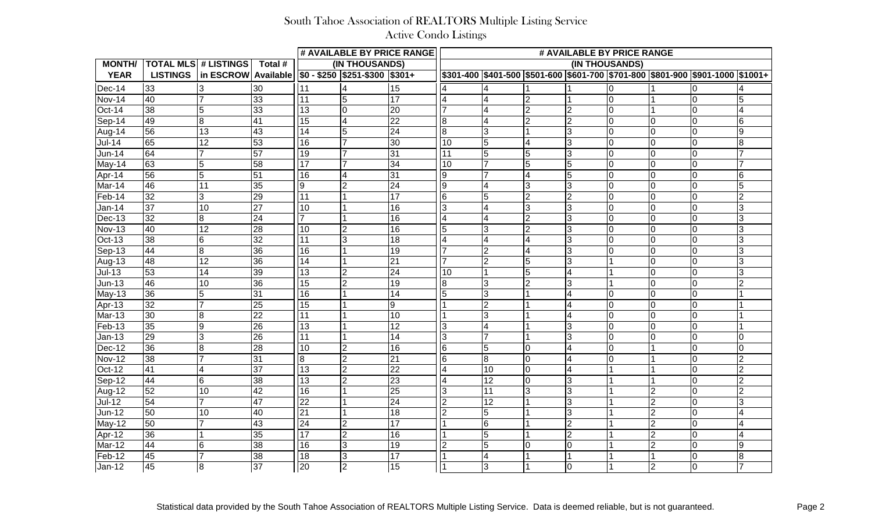|                            |                        |                                |                 |                 |                                            | # AVAILABLE BY PRICE RANGE | # AVAILABLE BY PRICE RANGE |                 |               |                |  |                |                                                                                       |                |  |
|----------------------------|------------------------|--------------------------------|-----------------|-----------------|--------------------------------------------|----------------------------|----------------------------|-----------------|---------------|----------------|--|----------------|---------------------------------------------------------------------------------------|----------------|--|
| <b>MONTH/</b>              |                        | <b>TOTAL MLS # LISTINGS</b>    | Total #         | (IN THOUSANDS)  |                                            |                            | (IN THOUSANDS)             |                 |               |                |  |                |                                                                                       |                |  |
| <b>YEAR</b>                |                        | LISTINGS   in ESCROW Available |                 |                 | $\frac{100 - 250}{200}$ \$251-\$300 \$301+ |                            |                            |                 |               |                |  |                | \$301-400  \$401-500  \$501-600  \$601-700  \$701-800  \$801-900  \$901-1000  \$1001+ |                |  |
| $Dec-14$                   | 33                     |                                | 30              | 11              |                                            | 15                         |                            |                 |               |                |  |                |                                                                                       |                |  |
| Nov-14                     | 40                     |                                | 33              | 11              | 5                                          | 17                         |                            |                 |               |                |  |                | I۵                                                                                    |                |  |
| Oct-14                     | $\overline{\text{38}}$ | 5                              | 33              | 13              |                                            | 20                         |                            |                 |               | $\overline{2}$ |  |                | $\Omega$                                                                              |                |  |
| Sep-14                     | 49                     | 8                              | 41              | 15              | 4                                          | 22                         | 8                          | 14              | $\mathcal{D}$ | 2              |  | l0             | In                                                                                    |                |  |
| Aug-14                     | 56                     | 13                             | 43              | 14              | $\overline{5}$                             | 24                         | 8                          | 13              |               | $\overline{3}$ |  | $\Omega$       | $\Omega$                                                                              |                |  |
| <b>Jul-14</b>              | 65                     | 12                             | 53              | 16              |                                            | 30                         | 10                         | 15              |               | $\overline{3}$ |  | l0             | In                                                                                    |                |  |
| <b>Jun-14</b>              | 64                     |                                | 57              | 19              |                                            | 31                         | 11                         | $\overline{5}$  | 5             | $\overline{3}$ |  | $\Omega$       | $\Omega$                                                                              |                |  |
| May-14                     | 63                     | 5                              | 58              | 117             |                                            | 34                         | 10                         |                 | 5             | $\overline{5}$ |  | l0             | $\Omega$                                                                              |                |  |
| Apr-14                     | $\overline{56}$        |                                | 51              | 16              |                                            | 31                         | 9                          |                 |               | $\overline{5}$ |  | $\Omega$       | $\Omega$                                                                              |                |  |
| Mar-14                     | 46                     | 11                             | 35              | 19              | $\overline{2}$                             | 24                         | $\overline{9}$             |                 | 3             | $\overline{3}$ |  | l0             | $\Omega$                                                                              |                |  |
| Feb-14                     | 32                     | 3                              | 29              | 111             |                                            | 17                         | 6                          | $\overline{5}$  |               | $\overline{2}$ |  | l0             | $\Omega$                                                                              |                |  |
| <b>Jan-14</b>              | $\overline{37}$        | 10                             | $\overline{27}$ | 10              |                                            | 16                         | 3                          |                 | 3             | $\overline{3}$ |  | l0             | $\Omega$                                                                              |                |  |
| $Dec-13$                   | 32                     | 8                              | 24              |                 |                                            | 16                         |                            |                 |               | $\overline{3}$ |  | l0             | $\Omega$                                                                              |                |  |
| <b>Nov-13</b>              | 40                     | 12                             | 28              | 10              |                                            | 16                         | 5                          | $\overline{3}$  |               | $\overline{3}$ |  | l0             | $\Omega$                                                                              |                |  |
| <b>Oct-13</b>              | 38                     | 6                              | $\overline{32}$ | $\overline{11}$ |                                            | 18                         |                            | $\overline{4}$  |               | $\overline{3}$ |  | l0             | $\Omega$                                                                              |                |  |
| Sep-13                     | 44                     | 8                              | 36              | 16              |                                            | 19                         |                            | 2               |               | $\overline{3}$ |  | l0             | $\Omega$                                                                              |                |  |
| Aug-13                     | 48                     | 12                             | 36              | 14              |                                            | 21                         |                            | $\overline{2}$  |               | $\overline{3}$ |  | l0             | $\Omega$                                                                              |                |  |
| $Jul-13$                   | 53                     | 14                             | 39              | 13              |                                            | 24                         | 10                         |                 |               | $\overline{4}$ |  | $\Omega$       | $\Omega$                                                                              |                |  |
| $Jun-13$                   | 46                     | 10                             | $\overline{36}$ | 15              | $\overline{2}$                             | 19                         | 8                          |                 |               | $\overline{3}$ |  | $\overline{0}$ | $\Omega$                                                                              |                |  |
| $\overline{\text{May-13}}$ | 36                     |                                | 31              | 16              |                                            | 14                         |                            |                 |               | 4              |  | 10             | $\Omega$                                                                              |                |  |
| Apr-13                     | 32                     |                                | 25              | 15              |                                            | $\boldsymbol{9}$           |                            |                 |               | 4              |  | $\Omega$       | $\Omega$                                                                              |                |  |
| Mar-13                     | 30                     | 8                              | $\overline{22}$ | 11              |                                            | 10                         |                            | 3               |               | 4              |  | $\Omega$       | l0                                                                                    |                |  |
| Feb-13                     | 35                     | 9                              | 26              | 13              |                                            | 12                         | 3                          |                 |               | IЗ             |  | $\Omega$       | In                                                                                    |                |  |
| <b>Jan-13</b>              | 29                     |                                | 26              | 11              |                                            | 14                         | 3                          |                 |               | lЗ             |  |                | $\Omega$                                                                              |                |  |
| $Dec-12$                   | 36                     | 8                              | 28              | 10              |                                            | 16                         | 6                          | 5               |               | 4              |  |                | I۵                                                                                    |                |  |
| <b>Nov-12</b>              | 38                     |                                | 31              | 8               |                                            | 21                         | 6                          | 18              |               | $\overline{4}$ |  |                |                                                                                       |                |  |
| Oct-12                     | $\overline{41}$        |                                | 37<br><b>.</b>  | $\overline{13}$ | $\mathcal{D}$                              | 22                         | $\overline{A}$             | 110<br>. .      | I۵            | $\overline{A}$ |  |                | ı∩                                                                                    |                |  |
| $Sep-12$                   | 44                     | $6 \overline{6}$               | 38              | $\sqrt{13}$     | $\overline{2}$                             | 23                         | $\overline{4}$             | $\overline{12}$ | Iо            | လ              |  |                | $\overline{0}$                                                                        | 2              |  |
| Aug-12                     | 52                     | 10                             | 42              | 16              |                                            | 25                         | 3                          | $\overline{11}$ | 3             | 3              |  | 2              | 0                                                                                     | $\overline{2}$ |  |
| $Jul-12$                   | 54                     |                                | 47              | $\overline{22}$ |                                            | 24                         | $\overline{2}$             | $\overline{12}$ |               | 3              |  | $\overline{2}$ | $\overline{0}$                                                                        | IЗ             |  |
| $Jun-12$                   | 50                     | 10                             | 40              | $\overline{21}$ |                                            | $\overline{18}$            | $\overline{2}$             | 5               |               | $\overline{3}$ |  | 2              | l0                                                                                    |                |  |
| May-12                     | 50                     |                                | 43              | $\overline{24}$ | 2                                          | 17                         |                            | 6               |               | $\overline{2}$ |  | $\overline{2}$ | l0                                                                                    |                |  |
| Apr-12                     | 36                     |                                | 35              | $\overline{17}$ | $\overline{2}$                             | 16                         |                            | 5               |               | $\overline{2}$ |  | 2              | l0                                                                                    |                |  |
| Mar-12                     | 44                     | $\,6$                          | 38              | 16              | $\overline{3}$                             | $\overline{19}$            | $\overline{2}$             | 5               | l0            | $\overline{0}$ |  | $\overline{2}$ | $\overline{0}$                                                                        | 19             |  |
| Feb-12                     | 45                     |                                | 38              | $\overline{18}$ | 3                                          | 17                         |                            | 4               |               |                |  |                | $\overline{0}$                                                                        | 8              |  |
| $Jan-12$                   | 45                     | $\overline{\infty}$            | $\overline{37}$ | $\overline{20}$ | $\overline{2}$                             | 15                         | 1                          | $\overline{3}$  |               | $\overline{0}$ |  | $\overline{2}$ | 0                                                                                     | $\overline{7}$ |  |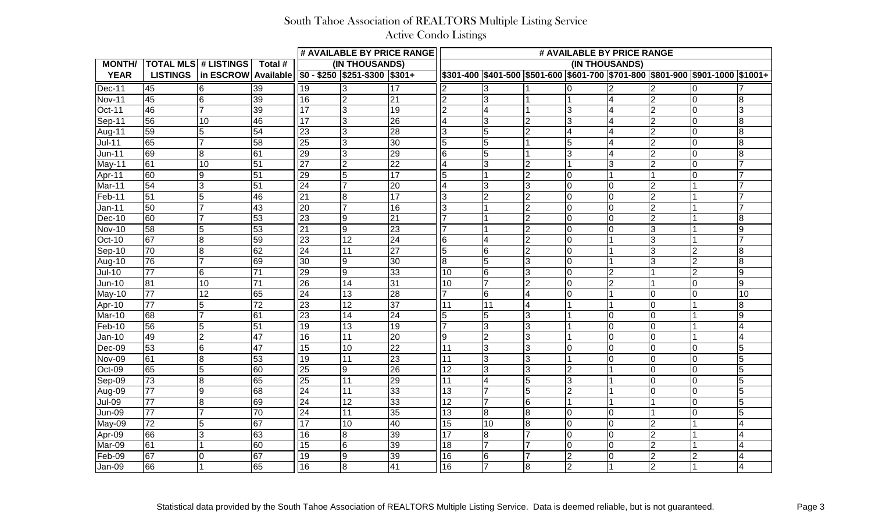|               |                 |                                |                 |                 |                                                           | # AVAILABLE BY PRICE RANGE | # AVAILABLE BY PRICE RANGE |                |    |                         |   |                |                                                                                       |                |  |
|---------------|-----------------|--------------------------------|-----------------|-----------------|-----------------------------------------------------------|----------------------------|----------------------------|----------------|----|-------------------------|---|----------------|---------------------------------------------------------------------------------------|----------------|--|
| <b>MONTH/</b> |                 | <b>TOTAL MLS # LISTINGS</b>    | Total #         | (IN THOUSANDS)  |                                                           |                            | (IN THOUSANDS)             |                |    |                         |   |                |                                                                                       |                |  |
| <b>YEAR</b>   |                 | LISTINGS   in ESCROW Available |                 |                 | $\sqrt{$0 - $250 \sqrt{$251 - $300 \sqrt{$301 + $251}}$}$ |                            |                            |                |    |                         |   |                | \$301-400  \$401-500  \$501-600  \$601-700  \$701-800  \$801-900  \$901-1000  \$1001+ |                |  |
| Dec-11        | 45              | 6                              | 39              | 19              |                                                           | 17                         |                            |                |    |                         |   |                |                                                                                       |                |  |
| Nov-11        | 45              | 6                              | 39              | 16              | <sup>2</sup>                                              | 21                         | $\overline{2}$             | 3              |    |                         |   | $\overline{2}$ | n                                                                                     |                |  |
| <b>Oct-11</b> | 46              |                                | 39              | 117             | 3                                                         | 19                         | $\overline{2}$             | $\overline{4}$ |    | $\overline{3}$          |   | $\overline{2}$ | $\Omega$                                                                              |                |  |
| $Sep-11$      | 56              | 10                             | 46              | $\overline{17}$ | 3                                                         | $\overline{26}$            | $\overline{4}$             | 3              |    | 3                       |   | $\overline{2}$ | $\Omega$                                                                              |                |  |
| Aug-11        | 59              | 5                              | 54              | 23              |                                                           | 28                         | 3                          | 5              |    | $\overline{\mathbf{4}}$ |   | $\overline{2}$ |                                                                                       |                |  |
| <b>Jul-11</b> | 65              |                                | 58              | 25              | Ι3                                                        | 30                         | 15                         | 5              |    | $\overline{5}$          |   | $\overline{2}$ | $\Omega$                                                                              |                |  |
| $Jun-11$      | 69              | 8                              | 61              | 29              | 3                                                         | 29                         | 6                          | 5              |    | 3                       |   | $\overline{2}$ | $\Omega$                                                                              |                |  |
| May-11        | 61              | 10                             | $\overline{51}$ | $\overline{27}$ |                                                           | $\overline{22}$            | $\overline{4}$             | 3              |    |                         | 3 | $\overline{2}$ |                                                                                       |                |  |
| Apr-11        | 60              | 9                              | $\overline{51}$ | 29              |                                                           | $\overline{17}$            | 5                          |                |    | l0                      |   |                |                                                                                       |                |  |
| Mar-11        | 54              | 3                              | 51              | 24              |                                                           | 20                         |                            | 3              |    | l0                      |   | $\overline{2}$ |                                                                                       |                |  |
| Feb-11        | $\overline{51}$ |                                | 46              | 21              | 8                                                         | 17                         | 3                          |                |    | l0                      |   | $\overline{2}$ |                                                                                       |                |  |
| Jan-11        | 50              |                                | 43              | <b>20</b>       |                                                           | 16                         | $\overline{3}$             |                |    | l0                      |   | $\overline{2}$ |                                                                                       |                |  |
| $Dec-10$      | 60              |                                | 53              | 23              | 9                                                         | 21                         |                            |                |    | $\overline{0}$          |   | $\overline{2}$ |                                                                                       |                |  |
| <b>Nov-10</b> | 58              | 5                              | 53              | 21              | $\overline{9}$                                            | 23                         |                            |                |    | l0                      |   | 3              |                                                                                       |                |  |
| Oct-10        | 67              | 8                              | $\overline{59}$ | $\overline{23}$ | $\overline{12}$                                           | $\overline{24}$            | 6                          |                |    | l0                      |   | 3              |                                                                                       |                |  |
| Sep-10        | 70              | 8                              | 62              | 24              | 11                                                        | 27                         | $\overline{5}$             | 6              |    | l0                      |   | 3              | $\overline{2}$                                                                        |                |  |
| Aug-10        | 76              |                                | 69              | 30              | Ι9                                                        | 30                         | 18                         | 5              |    | l0                      |   | 3              | $\overline{2}$                                                                        |                |  |
| <b>Jul-10</b> | $\overline{77}$ | 6                              | 71              | 29              | $\overline{9}$                                            | 33                         | 10                         | 6              |    | l0                      |   |                | $\overline{2}$                                                                        |                |  |
| <b>Jun-10</b> | $\overline{81}$ | 10                             | 71              | 26              | 14                                                        | 31                         | 10                         |                |    | l0                      |   |                | l0                                                                                    | Ι9             |  |
| May-10        | $\overline{77}$ | $\overline{12}$                | 65              | 24              | $\overline{13}$                                           | $\overline{28}$            |                            | 6              |    | l0                      |   |                | $\Omega$                                                                              | 10             |  |
| Apr-10        | 77              | 5                              | 72              | 23              | 12                                                        | 37                         | l11                        | 11             |    |                         |   | $\Omega$       |                                                                                       |                |  |
| Mar-10        | 68              |                                | 61              | 23              | 14                                                        | 24                         | $\overline{5}$             | 5              |    |                         |   | $\Omega$       |                                                                                       |                |  |
| Feb-10        | 56              | 5                              | 51              | 19              | $\overline{13}$                                           | 19                         |                            | 3              | 3  |                         |   | l0             |                                                                                       |                |  |
| $Jan-10$      | 49              | ∩                              | 47              | 16              | 11                                                        | 20                         | 9                          | $\mathcal{P}$  |    |                         |   | $\Omega$       |                                                                                       |                |  |
| Dec-09        | 53              | 6                              | 47              | 15              | 10                                                        | 22                         | 11                         | 3              |    | l0                      |   | l0             | n                                                                                     |                |  |
| Nov-09        | $\overline{61}$ | 8                              | 53              | 19              | 11                                                        | 23                         | 11                         | 3              |    |                         |   | $\Omega$       |                                                                                       |                |  |
| $Oct-09$      | 65              |                                | 60              | l25             | I9                                                        | 26                         | $\overline{12}$            | l3             |    | $\overline{2}$          |   |                | In                                                                                    |                |  |
| $Sep-09$      | 73              | $\overline{8}$                 | 65              | 25              | $\overline{11}$                                           | $\overline{29}$            | $\overline{11}$            | 4              | 5  | $\overline{3}$          |   | 0              | $\overline{0}$                                                                        | 5              |  |
| Aug-09        | 77              | $\overline{9}$                 | $\overline{68}$ | $\overline{24}$ | 11                                                        | $\overline{33}$            | $\overline{13}$            | 17             | 5  | $\overline{c}$          |   | $\overline{0}$ | $\overline{0}$                                                                        | $\overline{5}$ |  |
| <b>Jul-09</b> | $\overline{77}$ | $\overline{8}$                 | 69              | $\overline{24}$ | 12                                                        | $\overline{33}$            | $\overline{12}$            | $\overline{7}$ | 16 |                         |   |                | $\overline{0}$                                                                        | 5              |  |
| <b>Jun-09</b> | 77              | $\overline{7}$                 | 70              | $\overline{24}$ | 11                                                        | $\overline{35}$            | $\overline{13}$            | $\overline{8}$ | 8  | l0                      | 0 |                | $\overline{0}$                                                                        | 5              |  |
| May-09        | 72              | 5                              | 67              | $\overline{17}$ | 10                                                        | 40                         | $\overline{15}$            | $ 10\rangle$   | 8  | 10                      | 0 | $\overline{2}$ |                                                                                       |                |  |
| Apr-09        | 66              | $\mathfrak{S}$                 | 63              | 16              | 8                                                         | 39                         | $\overline{17}$            | 8              | ⇁  | l0                      | 0 | 2              |                                                                                       |                |  |
| Mar-09        | 61              |                                | $\overline{60}$ | 15              | 16                                                        | 39                         | 18                         | 17             |    | $\overline{0}$          | 0 | 2              |                                                                                       |                |  |
| Feb-09        | 67              | $\pmb{0}$                      | 67              | $\sqrt{19}$     | 9                                                         | 39                         | 16                         | 6              |    | $\overline{2}$          | 0 | 2              | $\overline{2}$                                                                        |                |  |
| Jan-09        | 66              |                                | 65              | 16              | $\overline{8}$                                            | 41                         | 16                         | 17             | 8  | $\overline{\mathbf{c}}$ |   | M              | $\overline{1}$                                                                        | $\overline{4}$ |  |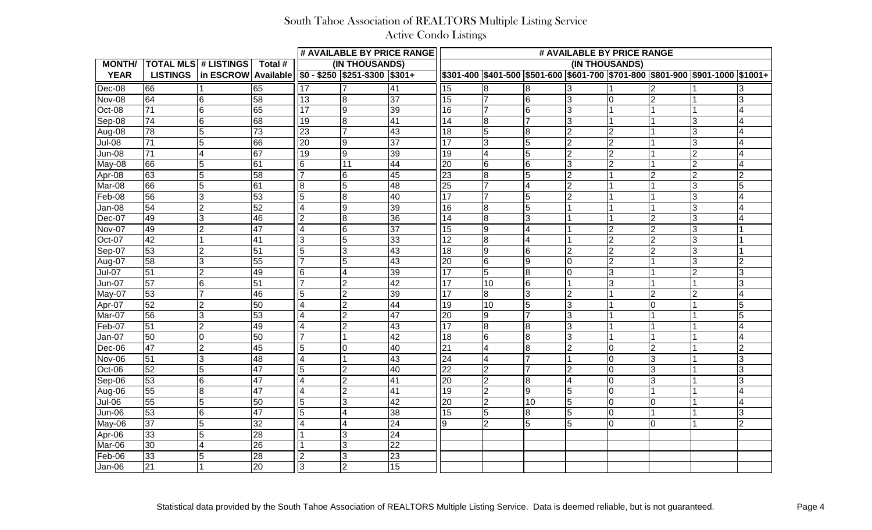|               |                 |                                |                       |                |                                                            | # AVAILABLE BY PRICE RANGE | # AVAILABLE BY PRICE RANGE |                 |                |                |   |                |                                                                                       |                |  |
|---------------|-----------------|--------------------------------|-----------------------|----------------|------------------------------------------------------------|----------------------------|----------------------------|-----------------|----------------|----------------|---|----------------|---------------------------------------------------------------------------------------|----------------|--|
| <b>MONTH/</b> |                 | <b>TOTAL MLS # LISTINGS</b>    | Total #               | (IN THOUSANDS) |                                                            |                            | (IN THOUSANDS)             |                 |                |                |   |                |                                                                                       |                |  |
| <b>YEAR</b>   |                 | LISTINGS   in ESCROW Available |                       |                | $\sqrt{$0 - $250 \sqrt{$251 - $300 \sqrt{$301 + $251.}}$}$ |                            |                            |                 |                |                |   |                | \$301-400  \$401-500  \$501-600  \$601-700  \$701-800  \$801-900  \$901-1000  \$1001+ |                |  |
| Dec-08        | 66              |                                | 65                    | 17             |                                                            | 41                         | $\overline{15}$            | 8               |                | 3              |   |                |                                                                                       |                |  |
| Nov-08        | 64              | 6                              | 58                    | 13             | 8                                                          | 37                         | 15                         |                 | 6              | 3              |   | $\mathcal{P}$  |                                                                                       |                |  |
| Oct-08        | $\overline{71}$ | 6                              | 65                    | 17             | 9                                                          | 39                         | 16                         |                 | 6              | 3              |   |                |                                                                                       |                |  |
| Sep-08        | 74              | 6                              | 68                    | 19             | l8                                                         | 41                         | 14                         | 8               |                | $\overline{3}$ |   |                | 3                                                                                     |                |  |
| Aug-08        | 78              | 5                              | 73                    | 23             |                                                            | 43                         | 18                         | 5               | 18             | $\overline{2}$ |   |                | 3                                                                                     |                |  |
| Jul-08        | $\overline{71}$ | 5                              | 66                    | 20             | Ι9                                                         | 37                         | 117                        | 3               | 5              | $\overline{2}$ |   |                | 3                                                                                     |                |  |
| <b>Jun-08</b> | $\overline{71}$ |                                | 67                    | 19             | Ι9                                                         | 39                         | 19                         | $\overline{4}$  |                | $\overline{2}$ | າ |                | $\overline{2}$                                                                        |                |  |
| May-08        | 66              | 5                              | 61                    | l6             | 11                                                         | 44                         | 20                         | 6               | l6             | IЗ             |   |                | $\overline{2}$                                                                        |                |  |
| Apr-08        | 63              | 5                              | 58                    |                | l6                                                         | 45                         | 23                         | 8               |                | $\overline{2}$ |   | 2              | $\overline{2}$                                                                        |                |  |
| Mar-08        | 66              | 5                              | 61                    | l8             |                                                            | 48                         | 25                         |                 |                | $\overline{2}$ |   |                | 3                                                                                     |                |  |
| Feb-08        | 56              | 3                              | 53                    | 5              | l8                                                         | 40                         | 117                        |                 | 5              | $\overline{2}$ |   |                | 3                                                                                     |                |  |
| Jan-08        | 54              | 2                              | $\overline{52}$       | 14             | Ι9                                                         | $\overline{39}$            | 16                         | 8               | 5              |                |   |                | 3                                                                                     |                |  |
| Dec-07        | 49              | 3                              | 46                    | 2              | 8                                                          | 36                         | 14                         | 8               |                |                |   | 2              | 3                                                                                     |                |  |
| Nov-07        | 49              |                                | 47                    | 14             | 6                                                          | 37                         | 15                         | 19              |                |                |   | $\overline{2}$ | 3                                                                                     |                |  |
| Oct-07        | $\overline{42}$ |                                | 41                    | 3              |                                                            | 33                         | $\overline{12}$            | 8               |                |                |   | $\mathcal{P}$  | 3                                                                                     |                |  |
| Sep-07        | 53              |                                | $\overline{5}1$       | 5              |                                                            | 43                         | 18                         | 19              | l6             | $\overline{2}$ |   | 2              | 3                                                                                     |                |  |
| Aug-07        | 58              |                                | 55                    |                |                                                            | 43                         | 20                         | $6\overline{6}$ | 9              | $\Omega$       | 2 |                | 3                                                                                     |                |  |
| <b>Jul-07</b> | $\overline{51}$ |                                | 49                    | 16             |                                                            | 39                         | 17                         | 5               | 8              | $\Omega$       | 3 |                | $\overline{2}$                                                                        |                |  |
| <b>Jun-07</b> | 57              | 6                              | 51                    |                | 2                                                          | 42                         | 17                         | 10              | 6              |                |   |                |                                                                                       |                |  |
| May-07        | 53              |                                | 46                    | 5              |                                                            | 39                         | 117                        | 8               |                | $\overline{2}$ |   | $\overline{2}$ | $\overline{2}$                                                                        |                |  |
| Apr-07        | 52              |                                | 50                    |                |                                                            | 44                         | 19                         | 10              | 5              | 3              |   | $\overline{0}$ |                                                                                       |                |  |
| Mar-07        | 56              | 3                              | 53                    |                |                                                            | 47                         | l20                        | Ι9              |                | 3              |   |                |                                                                                       |                |  |
| Feb-07        | $\overline{51}$ |                                | 49                    |                | 2                                                          | 43                         | 17                         | 8               | 8              | 3              |   |                |                                                                                       |                |  |
| Jan-07        | 50              |                                | 50                    |                |                                                            | 42                         | 18                         | l6              | 18             | 3              |   |                |                                                                                       |                |  |
| Dec-06        | 47              | 2                              | 45                    | 5              |                                                            | 40                         | 21                         |                 | $\overline{8}$ | $\overline{2}$ |   | $\overline{2}$ |                                                                                       |                |  |
| Nov-06        | $\overline{51}$ | 3                              | 48                    |                |                                                            | 43                         | 24                         |                 |                |                |   | 3              |                                                                                       |                |  |
| Oct-06        | $\overline{52}$ |                                | $\overline{47}$<br>┱, |                | 12                                                         | 40                         | $\overline{22}$            | Iゥ              |                | $\mathcal{D}$  |   |                |                                                                                       |                |  |
| Sep-06        | 53              | $6\overline{6}$                | 47                    | $\overline{4}$ | $\overline{2}$                                             | $\overline{41}$            | $\overline{20}$            | $\overline{2}$  | $\overline{8}$ | $\overline{4}$ | 0 | $\overline{3}$ |                                                                                       | 3              |  |
| Aug-06        | 55              | $\overline{8}$                 | 47                    | 4              | $\overline{2}$                                             | 41                         | $\overline{19}$            | 2               | 9              | 5              | 0 |                |                                                                                       |                |  |
| Jul-06        | 55              | $\overline{5}$                 | 50                    | 5              | 3                                                          | 42                         | 20                         | 2               | 10             | 5              | 0 | 0              |                                                                                       |                |  |
| Jun-06        | 53              | $6\overline{6}$                | 47                    | $\overline{5}$ | $\overline{4}$                                             | $\overline{38}$            | 15                         | 5               | 8              | $\overline{5}$ | 0 |                |                                                                                       | $\overline{3}$ |  |
| $May-06$      | 37              | $\overline{5}$                 | 32                    | 14             | $\overline{4}$                                             | 24                         | 9                          | $\overline{2}$  | 5              | $\overline{5}$ | 0 | $\overline{0}$ |                                                                                       | $\overline{2}$ |  |
| Apr-06        | $ 33\rangle$    | $\overline{5}$                 | 28                    |                | 3                                                          | 24                         |                            |                 |                |                |   |                |                                                                                       |                |  |
| Mar-06        | 30              | 4                              | $\overline{26}$       |                | 3                                                          | 22                         |                            |                 |                |                |   |                |                                                                                       |                |  |
| Feb-06        | 33              | $\overline{5}$                 | $\overline{28}$       | 2              | $\overline{3}$                                             | $\overline{23}$            |                            |                 |                |                |   |                |                                                                                       |                |  |
| Jan-06        | $\overline{21}$ |                                | 20                    | 3              | $\overline{2}$                                             | $\overline{15}$            |                            |                 |                |                |   |                |                                                                                       |                |  |